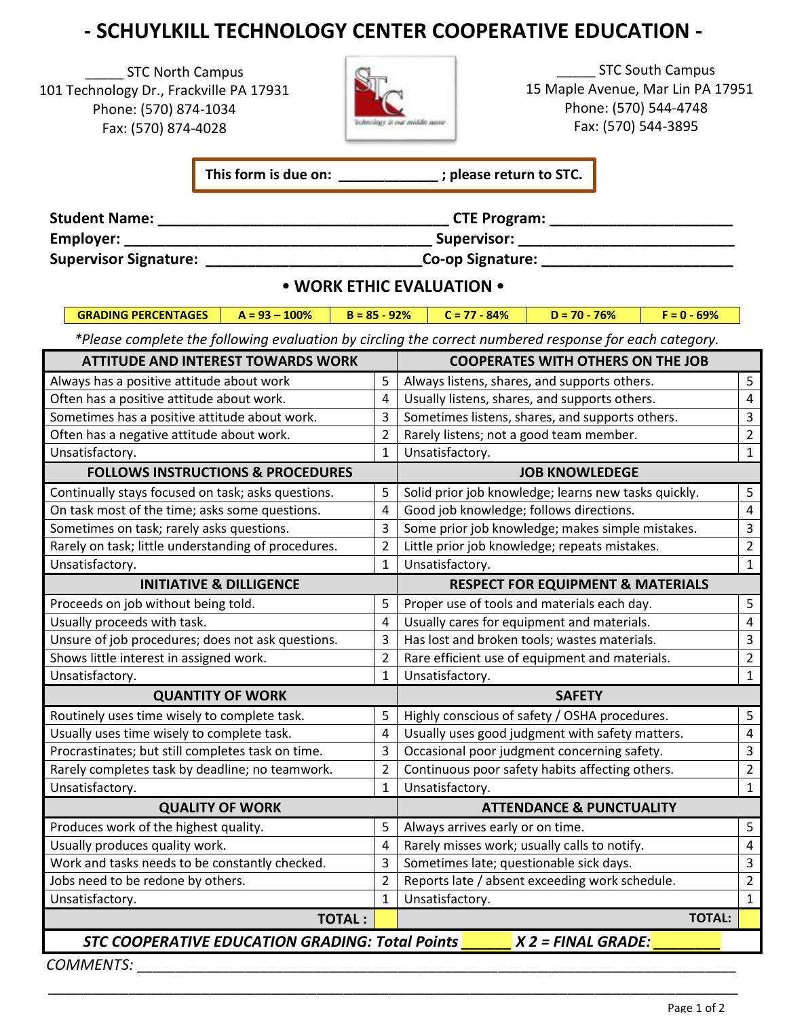## **- SCHUYLKILL TECHNOLOGY CENTER COOPERATIVE EDUCATION -**

STC North Campus 101 Technology Dr., Frackville PA 17931 Phone: (570) 874-1034 Fax: (570) 874-4028



\_\_\_\_\_ STC South Campus 15 Maple Avenue, Mar Lin PA 17951 Phone: (570) 544-4748 Fax: (570) 544-3895

**This form is due on: \_\_\_\_\_\_\_\_\_\_\_\_\_ ; please return to STC.**

| <b>Student Name:</b>         | <b>CTE Program:</b> |  |
|------------------------------|---------------------|--|
| Employer:                    | Supervisor:         |  |
| <b>Supervisor Signature:</b> | Co-op Signature:    |  |

## **• WORK ETHIC EVALUATION •**

**GRADING PERCENTAGES A = 93 – 100% B = 85 - 92% C = 77 - 84% D = 70 - 76% F = 0 - 69%**

 *\*Please complete the following evaluation by circling the correct numbered response for each category.*

| <b>ATTITUDE AND INTEREST TOWARDS WORK</b>              |                | <b>COOPERATES WITH OTHERS ON THE JOB</b>                         |                |  |  |
|--------------------------------------------------------|----------------|------------------------------------------------------------------|----------------|--|--|
| Always has a positive attitude about work              | 5              | Always listens, shares, and supports others.                     | 5              |  |  |
| Often has a positive attitude about work.              | $\overline{4}$ | Usually listens, shares, and supports others.                    | $\overline{4}$ |  |  |
| Sometimes has a positive attitude about work.          |                | Sometimes listens, shares, and supports others.                  | $\mathsf 3$    |  |  |
| Often has a negative attitude about work.              |                | Rarely listens; not a good team member.                          | $\overline{2}$ |  |  |
| Unsatisfactory.<br>$\mathbf{1}$                        |                | Unsatisfactory.                                                  |                |  |  |
| <b>FOLLOWS INSTRUCTIONS &amp; PROCEDURES</b>           |                | <b>JOB KNOWLEDEGE</b>                                            |                |  |  |
| Continually stays focused on task; asks questions.     | 5              | Solid prior job knowledge; learns new tasks quickly.             | 5              |  |  |
| On task most of the time; asks some questions.         | 4              | Good job knowledge; follows directions.                          | $\overline{4}$ |  |  |
| Sometimes on task; rarely asks questions.              | 3              | Some prior job knowledge; makes simple mistakes.                 | $\overline{3}$ |  |  |
| Rarely on task; little understanding of procedures.    | $\overline{2}$ | Little prior job knowledge; repeats mistakes.                    |                |  |  |
| Unsatisfactory.                                        | $\mathbf{1}$   | Unsatisfactory.                                                  | $\mathbf{1}$   |  |  |
| <b>INITIATIVE &amp; DILLIGENCE</b>                     |                | <b>RESPECT FOR EQUIPMENT &amp; MATERIALS</b>                     |                |  |  |
| Proceeds on job without being told.                    | 5              | Proper use of tools and materials each day.                      | 5              |  |  |
| Usually proceeds with task.                            | 4              | Usually cares for equipment and materials.                       | $\overline{4}$ |  |  |
| Unsure of job procedures; does not ask questions.      | 3              | Has lost and broken tools; wastes materials.                     | $\overline{3}$ |  |  |
| Shows little interest in assigned work.                | $\overline{2}$ | Rare efficient use of equipment and materials.                   | $\overline{2}$ |  |  |
| Unsatisfactory.<br>$\mathbf{1}$                        |                | Unsatisfactory.<br>$\mathbf{1}$                                  |                |  |  |
| <b>QUANTITY OF WORK</b>                                |                | <b>SAFETY</b>                                                    |                |  |  |
| Routinely uses time wisely to complete task.           | 5              | Highly conscious of safety / OSHA procedures.                    | 5              |  |  |
| Usually uses time wisely to complete task.             | 4              | Usually uses good judgment with safety matters.                  |                |  |  |
| Procrastinates; but still completes task on time.      | 3              | Occasional poor judgment concerning safety.                      |                |  |  |
| Rarely completes task by deadline; no teamwork.        | $\overline{2}$ | Continuous poor safety habits affecting others.                  |                |  |  |
| Unsatisfactory.                                        | $\mathbf{1}$   | Unsatisfactory.<br>$\mathbf{1}$                                  |                |  |  |
| <b>QUALITY OF WORK</b>                                 |                | <b>ATTENDANCE &amp; PUNCTUALITY</b>                              |                |  |  |
| Produces work of the highest quality.                  | 5              | 5<br>Always arrives early or on time.                            |                |  |  |
| Usually produces quality work.                         | 4              | Rarely misses work; usually calls to notify.                     |                |  |  |
| Work and tasks needs to be constantly checked.         | 3              | Sometimes late; questionable sick days.                          |                |  |  |
| Jobs need to be redone by others.                      | $\overline{2}$ | Reports late / absent exceeding work schedule.<br>$\overline{2}$ |                |  |  |
| Unsatisfactory.                                        | $\mathbf{1}$   | Unsatisfactory.<br>$\mathbf{1}$                                  |                |  |  |
| <b>TOTAL:</b>                                          |                | <b>TOTAL:</b>                                                    |                |  |  |
| <b>STC COOPERATIVE EDUCATION GRADING: Total Points</b> |                | $X$ 2 = FINAL GRADE:                                             |                |  |  |
| <b>COMMENTS:</b>                                       |                |                                                                  |                |  |  |

\_\_\_\_\_\_\_\_\_\_\_\_\_\_\_\_\_\_\_\_\_\_\_\_\_\_\_\_\_\_\_\_\_\_\_\_\_\_\_\_\_\_\_\_\_\_\_\_\_\_\_\_\_\_\_\_\_\_\_\_\_\_\_\_\_\_\_\_\_\_\_\_\_\_\_\_\_